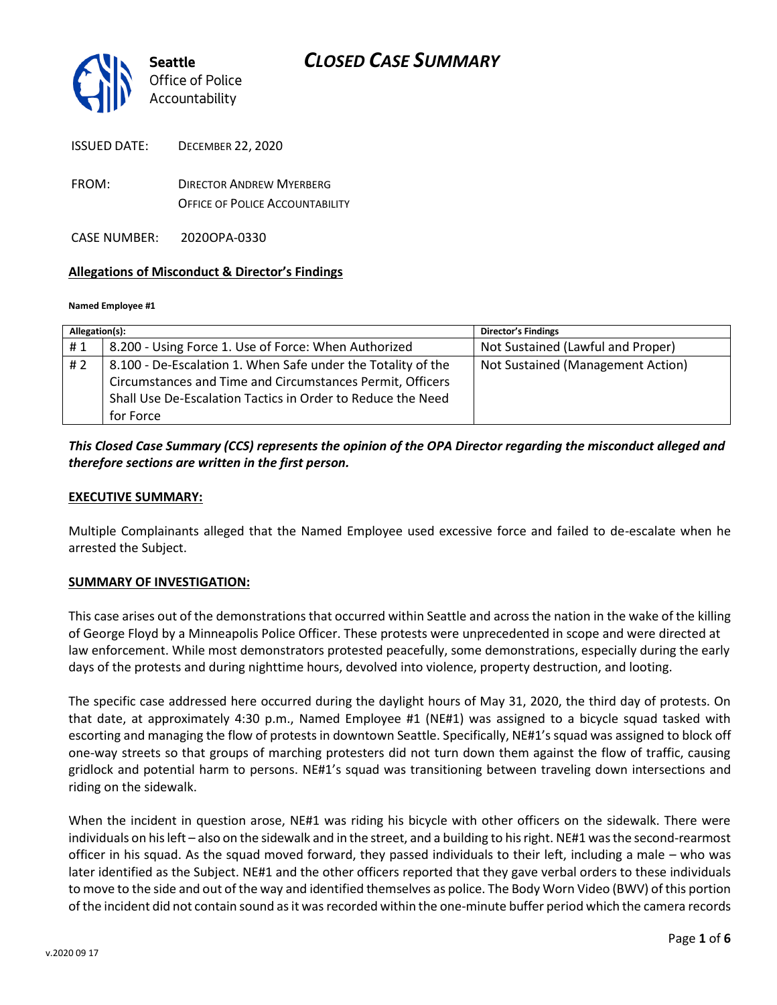

| <b>ISSUED DATE:</b> | <b>DECEMBER 22, 2020</b> |
|---------------------|--------------------------|
|                     |                          |

FROM: DIRECTOR ANDREW MYERBERG OFFICE OF POLICE ACCOUNTABILITY

CASE NUMBER: 2020OPA-0330

#### **Allegations of Misconduct & Director's Findings**

#### **Named Employee #1**

| Allegation(s): |                                                                                                                                                                                                       | <b>Director's Findings</b>        |
|----------------|-------------------------------------------------------------------------------------------------------------------------------------------------------------------------------------------------------|-----------------------------------|
| #1             | 8.200 - Using Force 1. Use of Force: When Authorized                                                                                                                                                  | Not Sustained (Lawful and Proper) |
| # 2            | 8.100 - De-Escalation 1. When Safe under the Totality of the<br>Circumstances and Time and Circumstances Permit, Officers<br>Shall Use De-Escalation Tactics in Order to Reduce the Need<br>for Force | Not Sustained (Management Action) |

### *This Closed Case Summary (CCS) represents the opinion of the OPA Director regarding the misconduct alleged and therefore sections are written in the first person.*

#### **EXECUTIVE SUMMARY:**

Multiple Complainants alleged that the Named Employee used excessive force and failed to de-escalate when he arrested the Subject.

#### **SUMMARY OF INVESTIGATION:**

This case arises out of the demonstrations that occurred within Seattle and across the nation in the wake of the killing of George Floyd by a Minneapolis Police Officer. These protests were unprecedented in scope and were directed at law enforcement. While most demonstrators protested peacefully, some demonstrations, especially during the early days of the protests and during nighttime hours, devolved into violence, property destruction, and looting.

The specific case addressed here occurred during the daylight hours of May 31, 2020, the third day of protests. On that date, at approximately 4:30 p.m., Named Employee #1 (NE#1) was assigned to a bicycle squad tasked with escorting and managing the flow of protests in downtown Seattle. Specifically, NE#1's squad was assigned to block off one-way streets so that groups of marching protesters did not turn down them against the flow of traffic, causing gridlock and potential harm to persons. NE#1's squad was transitioning between traveling down intersections and riding on the sidewalk.

When the incident in question arose, NE#1 was riding his bicycle with other officers on the sidewalk. There were individuals on his left – also on the sidewalk and in the street, and a building to his right. NE#1 was the second-rearmost officer in his squad. As the squad moved forward, they passed individuals to their left, including a male – who was later identified as the Subject. NE#1 and the other officers reported that they gave verbal orders to these individuals to move to the side and out of the way and identified themselves as police. The Body Worn Video (BWV) of this portion of the incident did not contain sound as it was recorded within the one-minute buffer period which the camera records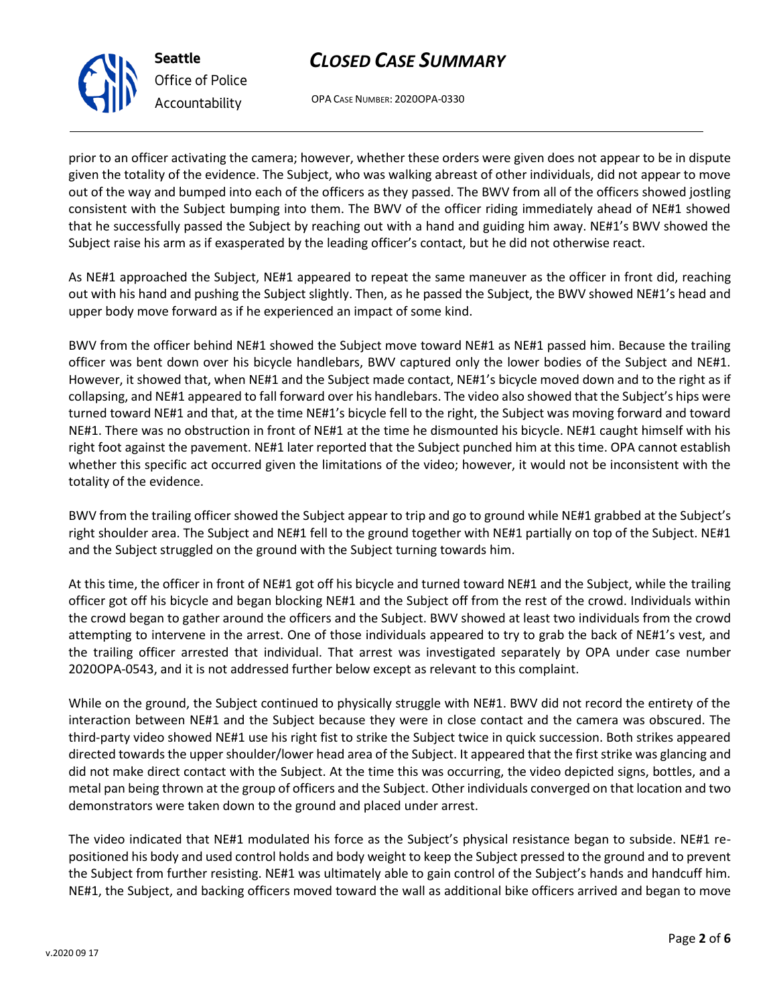OPA CASE NUMBER: 2020OPA-0330

prior to an officer activating the camera; however, whether these orders were given does not appear to be in dispute given the totality of the evidence. The Subject, who was walking abreast of other individuals, did not appear to move out of the way and bumped into each of the officers as they passed. The BWV from all of the officers showed jostling consistent with the Subject bumping into them. The BWV of the officer riding immediately ahead of NE#1 showed that he successfully passed the Subject by reaching out with a hand and guiding him away. NE#1's BWV showed the Subject raise his arm as if exasperated by the leading officer's contact, but he did not otherwise react.

As NE#1 approached the Subject, NE#1 appeared to repeat the same maneuver as the officer in front did, reaching out with his hand and pushing the Subject slightly. Then, as he passed the Subject, the BWV showed NE#1's head and upper body move forward as if he experienced an impact of some kind.

BWV from the officer behind NE#1 showed the Subject move toward NE#1 as NE#1 passed him. Because the trailing officer was bent down over his bicycle handlebars, BWV captured only the lower bodies of the Subject and NE#1. However, it showed that, when NE#1 and the Subject made contact, NE#1's bicycle moved down and to the right as if collapsing, and NE#1 appeared to fall forward over his handlebars. The video also showed that the Subject's hips were turned toward NE#1 and that, at the time NE#1's bicycle fell to the right, the Subject was moving forward and toward NE#1. There was no obstruction in front of NE#1 at the time he dismounted his bicycle. NE#1 caught himself with his right foot against the pavement. NE#1 later reported that the Subject punched him at this time. OPA cannot establish whether this specific act occurred given the limitations of the video; however, it would not be inconsistent with the totality of the evidence.

BWV from the trailing officer showed the Subject appear to trip and go to ground while NE#1 grabbed at the Subject's right shoulder area. The Subject and NE#1 fell to the ground together with NE#1 partially on top of the Subject. NE#1 and the Subject struggled on the ground with the Subject turning towards him.

At this time, the officer in front of NE#1 got off his bicycle and turned toward NE#1 and the Subject, while the trailing officer got off his bicycle and began blocking NE#1 and the Subject off from the rest of the crowd. Individuals within the crowd began to gather around the officers and the Subject. BWV showed at least two individuals from the crowd attempting to intervene in the arrest. One of those individuals appeared to try to grab the back of NE#1's vest, and the trailing officer arrested that individual. That arrest was investigated separately by OPA under case number 2020OPA-0543, and it is not addressed further below except as relevant to this complaint.

While on the ground, the Subject continued to physically struggle with NE#1. BWV did not record the entirety of the interaction between NE#1 and the Subject because they were in close contact and the camera was obscured. The third-party video showed NE#1 use his right fist to strike the Subject twice in quick succession. Both strikes appeared directed towards the upper shoulder/lower head area of the Subject. It appeared that the first strike was glancing and did not make direct contact with the Subject. At the time this was occurring, the video depicted signs, bottles, and a metal pan being thrown at the group of officers and the Subject. Other individuals converged on that location and two demonstrators were taken down to the ground and placed under arrest.

The video indicated that NE#1 modulated his force as the Subject's physical resistance began to subside. NE#1 repositioned his body and used control holds and body weight to keep the Subject pressed to the ground and to prevent the Subject from further resisting. NE#1 was ultimately able to gain control of the Subject's hands and handcuff him. NE#1, the Subject, and backing officers moved toward the wall as additional bike officers arrived and began to move



**Seattle**

*Office of Police Accountability*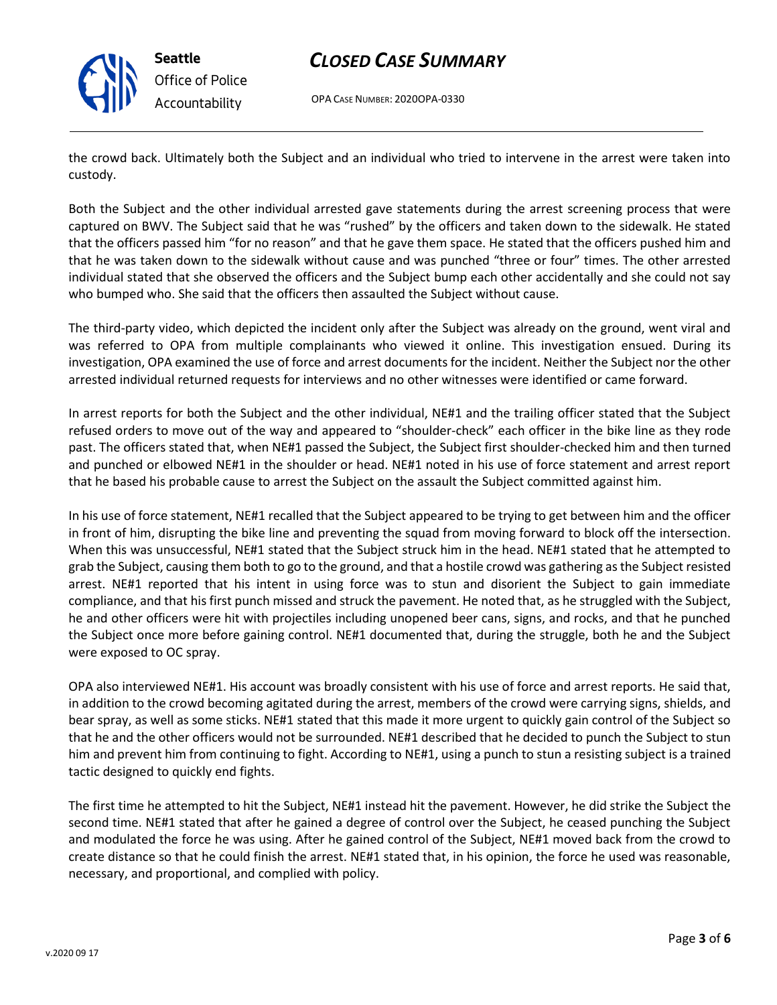

**Seattle** *Office of Police Accountability*

## *CLOSED CASE SUMMARY*

OPA CASE NUMBER: 2020OPA-0330

the crowd back. Ultimately both the Subject and an individual who tried to intervene in the arrest were taken into custody.

Both the Subject and the other individual arrested gave statements during the arrest screening process that were captured on BWV. The Subject said that he was "rushed" by the officers and taken down to the sidewalk. He stated that the officers passed him "for no reason" and that he gave them space. He stated that the officers pushed him and that he was taken down to the sidewalk without cause and was punched "three or four" times. The other arrested individual stated that she observed the officers and the Subject bump each other accidentally and she could not say who bumped who. She said that the officers then assaulted the Subject without cause.

The third-party video, which depicted the incident only after the Subject was already on the ground, went viral and was referred to OPA from multiple complainants who viewed it online. This investigation ensued. During its investigation, OPA examined the use of force and arrest documents for the incident. Neither the Subject nor the other arrested individual returned requests for interviews and no other witnesses were identified or came forward.

In arrest reports for both the Subject and the other individual, NE#1 and the trailing officer stated that the Subject refused orders to move out of the way and appeared to "shoulder-check" each officer in the bike line as they rode past. The officers stated that, when NE#1 passed the Subject, the Subject first shoulder-checked him and then turned and punched or elbowed NE#1 in the shoulder or head. NE#1 noted in his use of force statement and arrest report that he based his probable cause to arrest the Subject on the assault the Subject committed against him.

In his use of force statement, NE#1 recalled that the Subject appeared to be trying to get between him and the officer in front of him, disrupting the bike line and preventing the squad from moving forward to block off the intersection. When this was unsuccessful, NE#1 stated that the Subject struck him in the head. NE#1 stated that he attempted to grab the Subject, causing them both to go to the ground, and that a hostile crowd was gathering as the Subject resisted arrest. NE#1 reported that his intent in using force was to stun and disorient the Subject to gain immediate compliance, and that his first punch missed and struck the pavement. He noted that, as he struggled with the Subject, he and other officers were hit with projectiles including unopened beer cans, signs, and rocks, and that he punched the Subject once more before gaining control. NE#1 documented that, during the struggle, both he and the Subject were exposed to OC spray.

OPA also interviewed NE#1. His account was broadly consistent with his use of force and arrest reports. He said that, in addition to the crowd becoming agitated during the arrest, members of the crowd were carrying signs, shields, and bear spray, as well as some sticks. NE#1 stated that this made it more urgent to quickly gain control of the Subject so that he and the other officers would not be surrounded. NE#1 described that he decided to punch the Subject to stun him and prevent him from continuing to fight. According to NE#1, using a punch to stun a resisting subject is a trained tactic designed to quickly end fights.

The first time he attempted to hit the Subject, NE#1 instead hit the pavement. However, he did strike the Subject the second time. NE#1 stated that after he gained a degree of control over the Subject, he ceased punching the Subject and modulated the force he was using. After he gained control of the Subject, NE#1 moved back from the crowd to create distance so that he could finish the arrest. NE#1 stated that, in his opinion, the force he used was reasonable, necessary, and proportional, and complied with policy.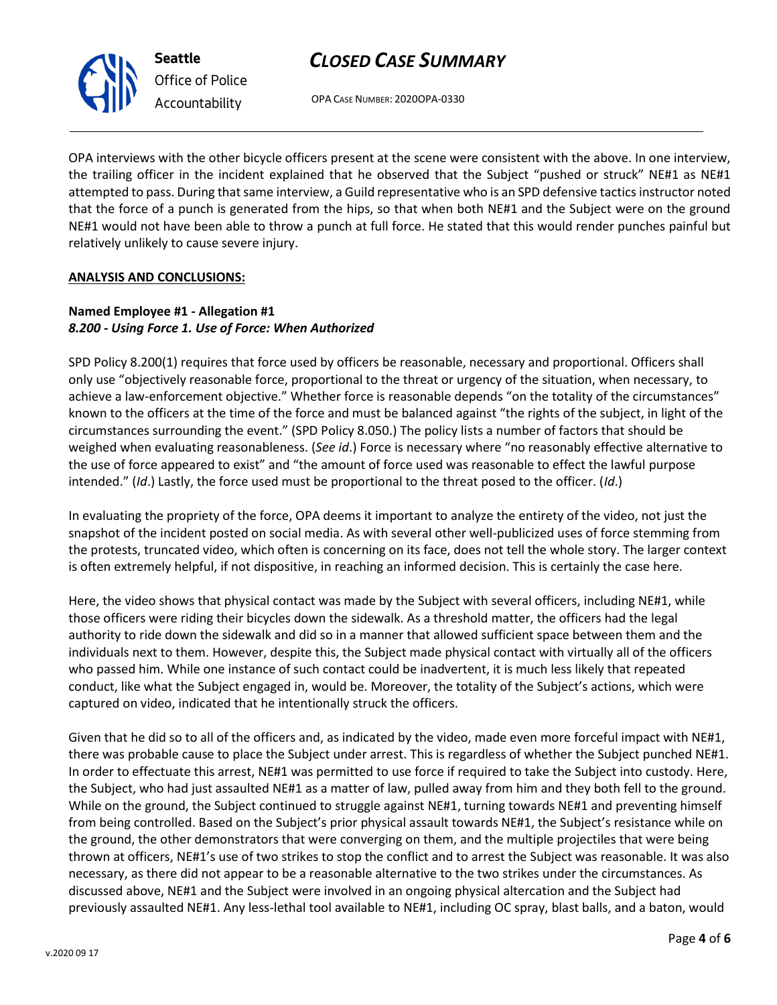

*Office of Police Accountability*

OPA CASE NUMBER: 2020OPA-0330

OPA interviews with the other bicycle officers present at the scene were consistent with the above. In one interview, the trailing officer in the incident explained that he observed that the Subject "pushed or struck" NE#1 as NE#1 attempted to pass. During that same interview, a Guild representative who is an SPD defensive tactics instructor noted that the force of a punch is generated from the hips, so that when both NE#1 and the Subject were on the ground NE#1 would not have been able to throw a punch at full force. He stated that this would render punches painful but relatively unlikely to cause severe injury.

### **ANALYSIS AND CONCLUSIONS:**

### **Named Employee #1 - Allegation #1** *8.200 - Using Force 1. Use of Force: When Authorized*

SPD Policy 8.200(1) requires that force used by officers be reasonable, necessary and proportional. Officers shall only use "objectively reasonable force, proportional to the threat or urgency of the situation, when necessary, to achieve a law-enforcement objective." Whether force is reasonable depends "on the totality of the circumstances" known to the officers at the time of the force and must be balanced against "the rights of the subject, in light of the circumstances surrounding the event." (SPD Policy 8.050.) The policy lists a number of factors that should be weighed when evaluating reasonableness. (*See id*.) Force is necessary where "no reasonably effective alternative to the use of force appeared to exist" and "the amount of force used was reasonable to effect the lawful purpose intended." (*Id*.) Lastly, the force used must be proportional to the threat posed to the officer. (*Id*.)

In evaluating the propriety of the force, OPA deems it important to analyze the entirety of the video, not just the snapshot of the incident posted on social media. As with several other well-publicized uses of force stemming from the protests, truncated video, which often is concerning on its face, does not tell the whole story. The larger context is often extremely helpful, if not dispositive, in reaching an informed decision. This is certainly the case here.

Here, the video shows that physical contact was made by the Subject with several officers, including NE#1, while those officers were riding their bicycles down the sidewalk. As a threshold matter, the officers had the legal authority to ride down the sidewalk and did so in a manner that allowed sufficient space between them and the individuals next to them. However, despite this, the Subject made physical contact with virtually all of the officers who passed him. While one instance of such contact could be inadvertent, it is much less likely that repeated conduct, like what the Subject engaged in, would be. Moreover, the totality of the Subject's actions, which were captured on video, indicated that he intentionally struck the officers.

Given that he did so to all of the officers and, as indicated by the video, made even more forceful impact with NE#1, there was probable cause to place the Subject under arrest. This is regardless of whether the Subject punched NE#1. In order to effectuate this arrest, NE#1 was permitted to use force if required to take the Subject into custody. Here, the Subject, who had just assaulted NE#1 as a matter of law, pulled away from him and they both fell to the ground. While on the ground, the Subject continued to struggle against NE#1, turning towards NE#1 and preventing himself from being controlled. Based on the Subject's prior physical assault towards NE#1, the Subject's resistance while on the ground, the other demonstrators that were converging on them, and the multiple projectiles that were being thrown at officers, NE#1's use of two strikes to stop the conflict and to arrest the Subject was reasonable. It was also necessary, as there did not appear to be a reasonable alternative to the two strikes under the circumstances. As discussed above, NE#1 and the Subject were involved in an ongoing physical altercation and the Subject had previously assaulted NE#1. Any less-lethal tool available to NE#1, including OC spray, blast balls, and a baton, would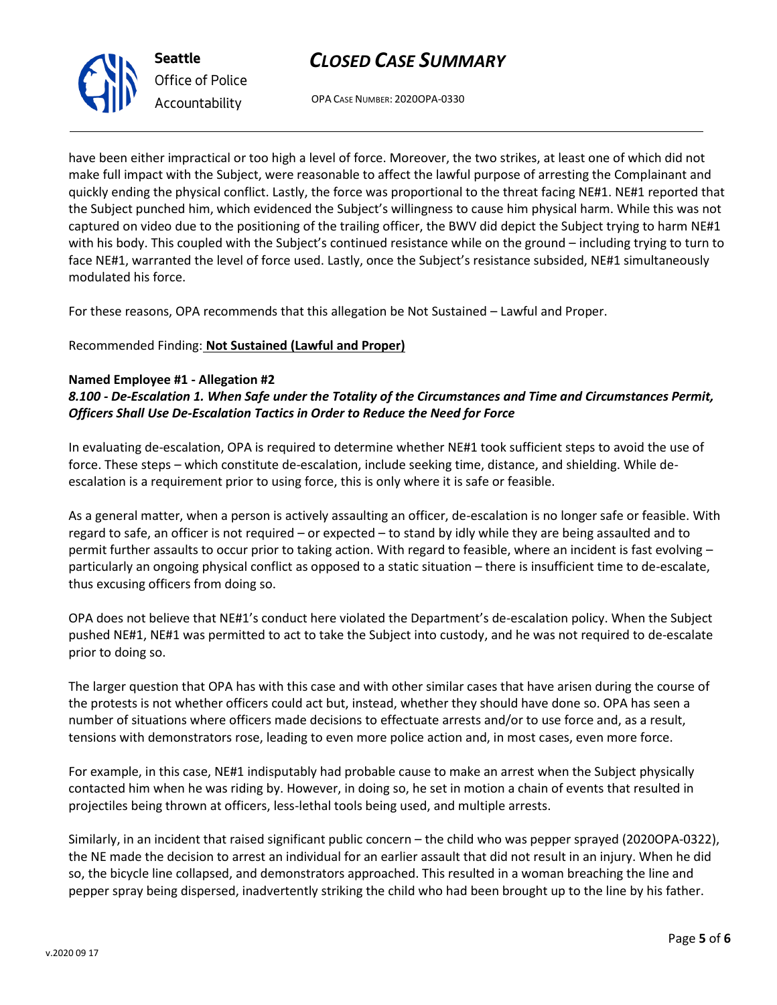OPA CASE NUMBER: 2020OPA-0330

have been either impractical or too high a level of force. Moreover, the two strikes, at least one of which did not make full impact with the Subject, were reasonable to affect the lawful purpose of arresting the Complainant and quickly ending the physical conflict. Lastly, the force was proportional to the threat facing NE#1. NE#1 reported that the Subject punched him, which evidenced the Subject's willingness to cause him physical harm. While this was not captured on video due to the positioning of the trailing officer, the BWV did depict the Subject trying to harm NE#1 with his body. This coupled with the Subject's continued resistance while on the ground – including trying to turn to face NE#1, warranted the level of force used. Lastly, once the Subject's resistance subsided, NE#1 simultaneously modulated his force.

For these reasons, OPA recommends that this allegation be Not Sustained – Lawful and Proper.

### Recommended Finding: **Not Sustained (Lawful and Proper)**

#### **Named Employee #1 - Allegation #2**

*8.100 - De-Escalation 1. When Safe under the Totality of the Circumstances and Time and Circumstances Permit, Officers Shall Use De-Escalation Tactics in Order to Reduce the Need for Force*

In evaluating de-escalation, OPA is required to determine whether NE#1 took sufficient steps to avoid the use of force. These steps – which constitute de-escalation, include seeking time, distance, and shielding. While deescalation is a requirement prior to using force, this is only where it is safe or feasible.

As a general matter, when a person is actively assaulting an officer, de-escalation is no longer safe or feasible. With regard to safe, an officer is not required – or expected – to stand by idly while they are being assaulted and to permit further assaults to occur prior to taking action. With regard to feasible, where an incident is fast evolving – particularly an ongoing physical conflict as opposed to a static situation – there is insufficient time to de-escalate, thus excusing officers from doing so.

OPA does not believe that NE#1's conduct here violated the Department's de-escalation policy. When the Subject pushed NE#1, NE#1 was permitted to act to take the Subject into custody, and he was not required to de-escalate prior to doing so.

The larger question that OPA has with this case and with other similar cases that have arisen during the course of the protests is not whether officers could act but, instead, whether they should have done so. OPA has seen a number of situations where officers made decisions to effectuate arrests and/or to use force and, as a result, tensions with demonstrators rose, leading to even more police action and, in most cases, even more force.

For example, in this case, NE#1 indisputably had probable cause to make an arrest when the Subject physically contacted him when he was riding by. However, in doing so, he set in motion a chain of events that resulted in projectiles being thrown at officers, less-lethal tools being used, and multiple arrests.

Similarly, in an incident that raised significant public concern – the child who was pepper sprayed (2020OPA-0322), the NE made the decision to arrest an individual for an earlier assault that did not result in an injury. When he did so, the bicycle line collapsed, and demonstrators approached. This resulted in a woman breaching the line and pepper spray being dispersed, inadvertently striking the child who had been brought up to the line by his father.



**Seattle** *Office of Police Accountability*